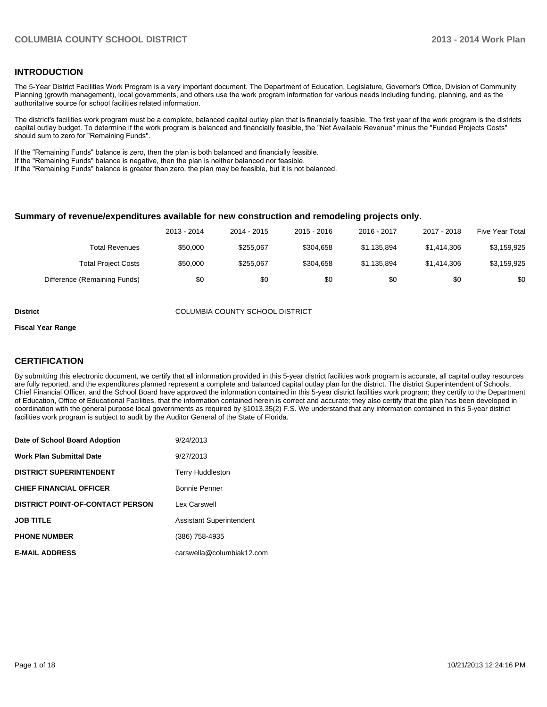### **INTRODUCTION**

The 5-Year District Facilities Work Program is a very important document. The Department of Education, Legislature, Governor's Office, Division of Community Planning (growth management), local governments, and others use the work program information for various needs including funding, planning, and as the authoritative source for school facilities related information.

The district's facilities work program must be a complete, balanced capital outlay plan that is financially feasible. The first year of the work program is the districts capital outlay budget. To determine if the work program is balanced and financially feasible, the "Net Available Revenue" minus the "Funded Projects Costs" should sum to zero for "Remaining Funds".

If the "Remaining Funds" balance is zero, then the plan is both balanced and financially feasible.

If the "Remaining Funds" balance is negative, then the plan is neither balanced nor feasible.

If the "Remaining Funds" balance is greater than zero, the plan may be feasible, but it is not balanced.

#### **Summary of revenue/expenditures available for new construction and remodeling projects only.**

| Five Year Total | 2017 - 2018 | 2016 - 2017 | 2015 - 2016 | 2014 - 2015 | 2013 - 2014 |                              |
|-----------------|-------------|-------------|-------------|-------------|-------------|------------------------------|
| \$3,159,925     | \$1,414,306 | \$1.135.894 | \$304.658   | \$255.067   | \$50,000    | Total Revenues               |
| \$3,159,925     | \$1,414,306 | \$1.135.894 | \$304.658   | \$255.067   | \$50,000    | <b>Total Project Costs</b>   |
| \$0             | \$0         | \$0         | \$0         | \$0         | \$0         | Difference (Remaining Funds) |

**District** COLUMBIA COUNTY SCHOOL DISTRICT

#### **Fiscal Year Range**

### **CERTIFICATION**

By submitting this electronic document, we certify that all information provided in this 5-year district facilities work program is accurate, all capital outlay resources are fully reported, and the expenditures planned represent a complete and balanced capital outlay plan for the district. The district Superintendent of Schools, Chief Financial Officer, and the School Board have approved the information contained in this 5-year district facilities work program; they certify to the Department of Education, Office of Educational Facilities, that the information contained herein is correct and accurate; they also certify that the plan has been developed in coordination with the general purpose local governments as required by §1013.35(2) F.S. We understand that any information contained in this 5-year district facilities work program is subject to audit by the Auditor General of the State of Florida.

| Date of School Board Adoption           | 9/24/2013                       |
|-----------------------------------------|---------------------------------|
| <b>Work Plan Submittal Date</b>         | 9/27/2013                       |
| <b>DISTRICT SUPERINTENDENT</b>          | <b>Terry Huddleston</b>         |
| <b>CHIEF FINANCIAL OFFICER</b>          | Bonnie Penner                   |
| <b>DISTRICT POINT-OF-CONTACT PERSON</b> | Lex Carswell                    |
| <b>JOB TITLE</b>                        | <b>Assistant Superintendent</b> |
| <b>PHONE NUMBER</b>                     | (386) 758-4935                  |
| <b>E-MAIL ADDRESS</b>                   | carswella@columbiak12.com       |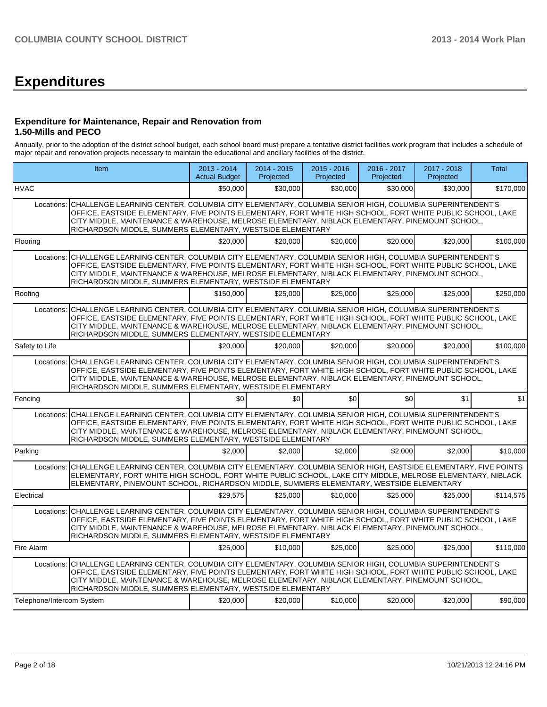# **Expenditures**

### **Expenditure for Maintenance, Repair and Renovation from 1.50-Mills and PECO**

Annually, prior to the adoption of the district school budget, each school board must prepare a tentative district facilities work program that includes a schedule of major repair and renovation projects necessary to maintain the educational and ancillary facilities of the district.

|                           | Item                                                                                                                                                                                                                                                                                                                                                                                            | 2013 - 2014<br><b>Actual Budget</b> | 2014 - 2015<br>Projected | $2015 - 2016$<br>Projected | 2016 - 2017<br>Projected | $2017 - 2018$<br>Projected | <b>Total</b> |  |
|---------------------------|-------------------------------------------------------------------------------------------------------------------------------------------------------------------------------------------------------------------------------------------------------------------------------------------------------------------------------------------------------------------------------------------------|-------------------------------------|--------------------------|----------------------------|--------------------------|----------------------------|--------------|--|
| <b>HVAC</b>               |                                                                                                                                                                                                                                                                                                                                                                                                 | \$50,000                            | \$30,000                 | \$30,000                   | \$30,000                 | \$30,000                   | \$170,000    |  |
| Locations:                | CHALLENGE LEARNING CENTER, COLUMBIA CITY ELEMENTARY, COLUMBIA SENIOR HIGH, COLUMBIA SUPERINTENDENT'S<br>OFFICE, EASTSIDE ELEMENTARY, FIVE POINTS ELEMENTARY, FORT WHITE HIGH SCHOOL, FORT WHITE PUBLIC SCHOOL, LAKE<br>CITY MIDDLE, MAINTENANCE & WAREHOUSE, MELROSE ELEMENTARY, NIBLACK ELEMENTARY, PINEMOUNT SCHOOL,<br>RICHARDSON MIDDLE, SUMMERS ELEMENTARY, WESTSIDE ELEMENTARY            |                                     |                          |                            |                          |                            |              |  |
| Flooring                  |                                                                                                                                                                                                                                                                                                                                                                                                 | \$20,000                            | \$20,000                 | \$20,000                   | \$20,000                 | \$20.000                   | \$100.000    |  |
| Locations:                | CHALLENGE LEARNING CENTER, COLUMBIA CITY ELEMENTARY, COLUMBIA SENIOR HIGH, COLUMBIA SUPERINTENDENT'S<br>OFFICE, EASTSIDE ELEMENTARY, FIVE POINTS ELEMENTARY, FORT WHITE HIGH SCHOOL, FORT WHITE PUBLIC SCHOOL, LAKE<br>CITY MIDDLE, MAINTENANCE & WAREHOUSE, MELROSE ELEMENTARY, NIBLACK ELEMENTARY, PINEMOUNT SCHOOL,<br>RICHARDSON MIDDLE, SUMMERS ELEMENTARY, WESTSIDE ELEMENTARY            |                                     |                          |                            |                          |                            |              |  |
| Roofing                   |                                                                                                                                                                                                                                                                                                                                                                                                 | \$150,000                           | \$25,000                 | \$25,000                   | \$25,000                 | \$25,000                   | \$250,000    |  |
|                           | Locations: CHALLENGE LEARNING CENTER, COLUMBIA CITY ELEMENTARY, COLUMBIA SENIOR HIGH, COLUMBIA SUPERINTENDENT'S<br>OFFICE, EASTSIDE ELEMENTARY, FIVE POINTS ELEMENTARY, FORT WHITE HIGH SCHOOL, FORT WHITE PUBLIC SCHOOL, LAKE<br>CITY MIDDLE, MAINTENANCE & WAREHOUSE, MELROSE ELEMENTARY, NIBLACK ELEMENTARY, PINEMOUNT SCHOOL,<br>RICHARDSON MIDDLE, SUMMERS ELEMENTARY, WESTSIDE ELEMENTARY |                                     |                          |                            |                          |                            |              |  |
| Safety to Life            |                                                                                                                                                                                                                                                                                                                                                                                                 | \$20,000                            | \$20,000                 | \$20,000                   | \$20,000                 | \$20,000                   | \$100,000    |  |
|                           | Locations: CHALLENGE LEARNING CENTER, COLUMBIA CITY ELEMENTARY, COLUMBIA SENIOR HIGH, COLUMBIA SUPERINTENDENT'S<br>OFFICE, EASTSIDE ELEMENTARY, FIVE POINTS ELEMENTARY, FORT WHITE HIGH SCHOOL, FORT WHITE PUBLIC SCHOOL, LAKE<br>CITY MIDDLE, MAINTENANCE & WAREHOUSE, MELROSE ELEMENTARY, NIBLACK ELEMENTARY, PINEMOUNT SCHOOL,<br>RICHARDSON MIDDLE, SUMMERS ELEMENTARY, WESTSIDE ELEMENTARY |                                     |                          |                            |                          |                            |              |  |
| Fencing                   |                                                                                                                                                                                                                                                                                                                                                                                                 | \$0 <sub>l</sub>                    | $\Omega$                 | \$0                        | \$0                      | \$1                        | \$1          |  |
| Locations:                | CHALLENGE LEARNING CENTER, COLUMBIA CITY ELEMENTARY, COLUMBIA SENIOR HIGH, COLUMBIA SUPERINTENDENT'S<br>OFFICE, EASTSIDE ELEMENTARY, FIVE POINTS ELEMENTARY, FORT WHITE HIGH SCHOOL, FORT WHITE PUBLIC SCHOOL, LAKE<br>CITY MIDDLE, MAINTENANCE & WAREHOUSE, MELROSE ELEMENTARY, NIBLACK ELEMENTARY, PINEMOUNT SCHOOL,<br>RICHARDSON MIDDLE, SUMMERS ELEMENTARY, WESTSIDE ELEMENTARY            |                                     |                          |                            |                          |                            |              |  |
| Parking                   |                                                                                                                                                                                                                                                                                                                                                                                                 | \$2,000                             | \$2,000                  | \$2.000                    | \$2,000                  | \$2,000                    | \$10,000     |  |
| Locations:                | CHALLENGE LEARNING CENTER, COLUMBIA CITY ELEMENTARY, COLUMBIA SENIOR HIGH, EASTSIDE ELEMENTARY, FIVE POINTS<br>ELEMENTARY, FORT WHITE HIGH SCHOOL, FORT WHITE PUBLIC SCHOOL, LAKE CITY MIDDLE, MELROSE ELEMENTARY, NIBLACK<br>ELEMENTARY, PINEMOUNT SCHOOL, RICHARDSON MIDDLE, SUMMERS ELEMENTARY, WESTSIDE ELEMENTARY                                                                          |                                     |                          |                            |                          |                            |              |  |
| Electrical                |                                                                                                                                                                                                                                                                                                                                                                                                 | \$29,575                            | \$25,000                 | \$10,000                   | \$25,000                 | \$25,000                   | \$114,575    |  |
|                           | Locations: CHALLENGE LEARNING CENTER, COLUMBIA CITY ELEMENTARY, COLUMBIA SENIOR HIGH, COLUMBIA SUPERINTENDENT'S<br>OFFICE, EASTSIDE ELEMENTARY, FIVE POINTS ELEMENTARY, FORT WHITE HIGH SCHOOL, FORT WHITE PUBLIC SCHOOL, LAKE<br>CITY MIDDLE, MAINTENANCE & WAREHOUSE, MELROSE ELEMENTARY, NIBLACK ELEMENTARY, PINEMOUNT SCHOOL,<br>RICHARDSON MIDDLE, SUMMERS ELEMENTARY, WESTSIDE ELEMENTARY |                                     |                          |                            |                          |                            |              |  |
| Fire Alarm                |                                                                                                                                                                                                                                                                                                                                                                                                 | \$25,000                            | \$10,000                 | \$25,000                   | \$25,000                 | \$25,000                   | \$110,000    |  |
|                           | Locations: CHALLENGE LEARNING CENTER, COLUMBIA CITY ELEMENTARY, COLUMBIA SENIOR HIGH, COLUMBIA SUPERINTENDENT'S<br>OFFICE, EASTSIDE ELEMENTARY, FIVE POINTS ELEMENTARY, FORT WHITE HIGH SCHOOL, FORT WHITE PUBLIC SCHOOL, LAKE<br>CITY MIDDLE, MAINTENANCE & WAREHOUSE, MELROSE ELEMENTARY, NIBLACK ELEMENTARY, PINEMOUNT SCHOOL,<br>RICHARDSON MIDDLE, SUMMERS ELEMENTARY, WESTSIDE ELEMENTARY |                                     |                          |                            |                          |                            |              |  |
| Telephone/Intercom System |                                                                                                                                                                                                                                                                                                                                                                                                 | \$20,000                            | \$20,000                 | \$10,000                   | \$20,000                 | \$20,000                   | \$90,000     |  |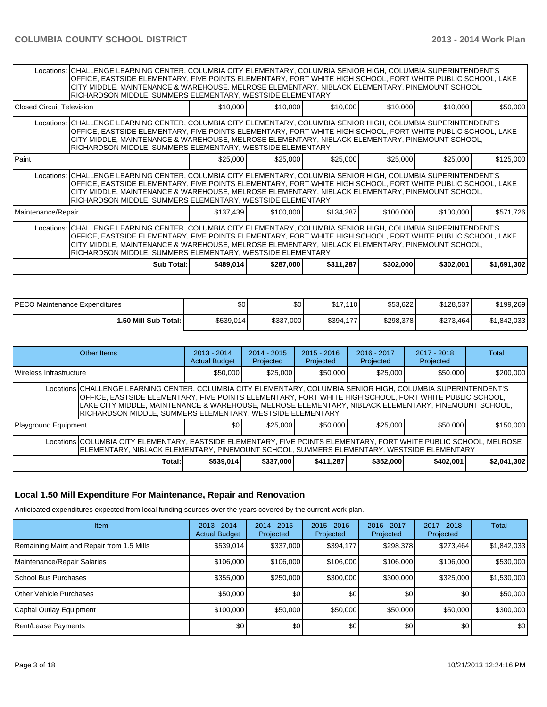|                                                                                                                                                                                                                                                                                                                                                                                                 | Locations:   CHALLENGE LEARNING CENTER, COLUMBIA CITY ELEMENTARY, COLUMBIA SENIOR HIGH, COLUMBIA SUPERINTENDENT'S<br>OFFICE, EASTSIDE ELEMENTARY, FIVE POINTS ELEMENTARY, FORT WHITE HIGH SCHOOL, FORT WHITE PUBLIC SCHOOL, LAKE<br>CITY MIDDLE, MAINTENANCE & WAREHOUSE, MELROSE ELEMENTARY, NIBLACK ELEMENTARY, PINEMOUNT SCHOOL,<br>RICHARDSON MIDDLE, SUMMERS ELEMENTARY, WESTSIDE ELEMENTARY |           |           |           |           |           |             |  |  |  |  |
|-------------------------------------------------------------------------------------------------------------------------------------------------------------------------------------------------------------------------------------------------------------------------------------------------------------------------------------------------------------------------------------------------|---------------------------------------------------------------------------------------------------------------------------------------------------------------------------------------------------------------------------------------------------------------------------------------------------------------------------------------------------------------------------------------------------|-----------|-----------|-----------|-----------|-----------|-------------|--|--|--|--|
| Closed Circuit Television                                                                                                                                                                                                                                                                                                                                                                       |                                                                                                                                                                                                                                                                                                                                                                                                   | \$10,000  | \$10,000  | \$10,000  | \$10,000  | \$10,000  | \$50,000    |  |  |  |  |
|                                                                                                                                                                                                                                                                                                                                                                                                 | Locations: CHALLENGE LEARNING CENTER, COLUMBIA CITY ELEMENTARY, COLUMBIA SENIOR HIGH, COLUMBIA SUPERINTENDENT'S<br>OFFICE, EASTSIDE ELEMENTARY, FIVE POINTS ELEMENTARY, FORT WHITE HIGH SCHOOL, FORT WHITE PUBLIC SCHOOL, LAKE<br>CITY MIDDLE, MAINTENANCE & WAREHOUSE, MELROSE ELEMENTARY, NIBLACK ELEMENTARY, PINEMOUNT SCHOOL,<br>RICHARDSON MIDDLE, SUMMERS ELEMENTARY, WESTSIDE ELEMENTARY   |           |           |           |           |           |             |  |  |  |  |
| <b>Paint</b>                                                                                                                                                                                                                                                                                                                                                                                    |                                                                                                                                                                                                                                                                                                                                                                                                   | \$25,000  | \$25,000  | \$25,000  | \$25,000  | \$25,000  | \$125,000   |  |  |  |  |
|                                                                                                                                                                                                                                                                                                                                                                                                 | Locations: CHALLENGE LEARNING CENTER, COLUMBIA CITY ELEMENTARY, COLUMBIA SENIOR HIGH, COLUMBIA SUPERINTENDENT'S<br>OFFICE, EASTSIDE ELEMENTARY, FIVE POINTS ELEMENTARY, FORT WHITE HIGH SCHOOL, FORT WHITE PUBLIC SCHOOL, LAKE<br>CITY MIDDLE, MAINTENANCE & WAREHOUSE, MELROSE ELEMENTARY, NIBLACK ELEMENTARY, PINEMOUNT SCHOOL,<br>RICHARDSON MIDDLE, SUMMERS ELEMENTARY, WESTSIDE ELEMENTARY   |           |           |           |           |           |             |  |  |  |  |
| Maintenance/Repair                                                                                                                                                                                                                                                                                                                                                                              |                                                                                                                                                                                                                                                                                                                                                                                                   | \$137,439 | \$100,000 | \$134,287 | \$100,000 | \$100,000 | \$571,726   |  |  |  |  |
| Locations: CHALLENGE LEARNING CENTER, COLUMBIA CITY ELEMENTARY, COLUMBIA SENIOR HIGH, COLUMBIA SUPERINTENDENT'S<br>OFFICE, EASTSIDE ELEMENTARY, FIVE POINTS ELEMENTARY, FORT WHITE HIGH SCHOOL, FORT WHITE PUBLIC SCHOOL, LAKE<br>CITY MIDDLE, MAINTENANCE & WAREHOUSE, MELROSE ELEMENTARY, NIBLACK ELEMENTARY, PINEMOUNT SCHOOL,<br>RICHARDSON MIDDLE, SUMMERS ELEMENTARY, WESTSIDE ELEMENTARY |                                                                                                                                                                                                                                                                                                                                                                                                   |           |           |           |           |           |             |  |  |  |  |
|                                                                                                                                                                                                                                                                                                                                                                                                 | Sub Total: I                                                                                                                                                                                                                                                                                                                                                                                      | \$489,014 | \$287,000 | \$311,287 | \$302,000 | \$302,001 | \$1,691,302 |  |  |  |  |

| IPECO Maintenance Expenditures | \$0       | \$0       | \$17.110         | \$53.622  | \$128.537 | \$199.269   |
|--------------------------------|-----------|-----------|------------------|-----------|-----------|-------------|
| 1.50 Mill Sub Total: İ         | \$539,014 | \$337,000 | \$394,177<br>477 | \$298,378 | \$273.464 | \$1,842,033 |

| Other Items               |                                                                                                                                                                                                                                                                                                                                                                                                | $2013 - 2014$<br><b>Actual Budget</b> | $2014 - 2015$<br>Projected | $2015 - 2016$<br>Projected | $2016 - 2017$<br>Projected | $2017 - 2018$<br>Projected | Total       |  |  |
|---------------------------|------------------------------------------------------------------------------------------------------------------------------------------------------------------------------------------------------------------------------------------------------------------------------------------------------------------------------------------------------------------------------------------------|---------------------------------------|----------------------------|----------------------------|----------------------------|----------------------------|-------------|--|--|
| I Wireless Infrastructure |                                                                                                                                                                                                                                                                                                                                                                                                | \$50,000                              | \$25,000                   | \$50,000                   | \$25,000                   | \$50,000                   | \$200,000   |  |  |
|                           | Locations CHALLENGE LEARNING CENTER, COLUMBIA CITY ELEMENTARY, COLUMBIA SENIOR HIGH, COLUMBIA SUPERINTENDENT'S<br>OFFICE, EASTSIDE ELEMENTARY, FIVE POINTS ELEMENTARY, FORT WHITE HIGH SCHOOL, FORT WHITE PUBLIC SCHOOL,<br>LAKE CITY MIDDLE, MAINTENANCE & WAREHOUSE, MELROSE ELEMENTARY, NIBLACK ELEMENTARY, PINEMOUNT SCHOOL,<br>RICHARDSON MIDDLE, SUMMERS ELEMENTARY, WESTSIDE ELEMENTARY |                                       |                            |                            |                            |                            |             |  |  |
| Playground Equipment      |                                                                                                                                                                                                                                                                                                                                                                                                | \$0                                   | \$25,000                   | \$50,000                   | \$25,000                   | \$50,000                   | \$150,000   |  |  |
|                           | Locations COLUMBIA CITY ELEMENTARY, EASTSIDE ELEMENTARY, FIVE POINTS ELEMENTARY, FORT WHITE PUBLIC SCHOOL, MELROSE<br>ELEMENTARY, NIBLACK ELEMENTARY, PINEMOUNT SCHOOL, SUMMERS ELEMENTARY, WESTSIDE ELEMENTARY                                                                                                                                                                                |                                       |                            |                            |                            |                            |             |  |  |
|                           | Total:                                                                                                                                                                                                                                                                                                                                                                                         | \$539,014                             | \$337,000                  | \$411.287                  | \$352,000                  | \$402.001                  | \$2,041,302 |  |  |

## **Local 1.50 Mill Expenditure For Maintenance, Repair and Renovation**

Anticipated expenditures expected from local funding sources over the years covered by the current work plan.

| <b>Item</b>                               | $2013 - 2014$<br><b>Actual Budget</b> | $2014 - 2015$<br>Projected | $2015 - 2016$<br>Projected | 2016 - 2017<br>Projected | 2017 - 2018<br>Projected | Total       |
|-------------------------------------------|---------------------------------------|----------------------------|----------------------------|--------------------------|--------------------------|-------------|
| Remaining Maint and Repair from 1.5 Mills | \$539,014                             | \$337,000                  | \$394,177                  | \$298,378                | \$273,464                | \$1,842,033 |
| Maintenance/Repair Salaries               | \$106,000                             | \$106,000                  | \$106,000                  | \$106,000                | \$106,000                | \$530,000   |
| <b>School Bus Purchases</b>               | \$355,000                             | \$250,000                  | \$300,000                  | \$300,000                | \$325,000                | \$1,530,000 |
| <b>Other Vehicle Purchases</b>            | \$50,000                              | \$0 <sub>1</sub>           | \$0 <sub>1</sub>           | \$0                      | \$0                      | \$50,000    |
| Capital Outlay Equipment                  | \$100,000                             | \$50,000                   | \$50,000                   | \$50,000                 | \$50,000                 | \$300,000   |
| Rent/Lease Payments                       | \$0                                   | \$0                        | \$0                        | \$0                      | \$0                      | \$0         |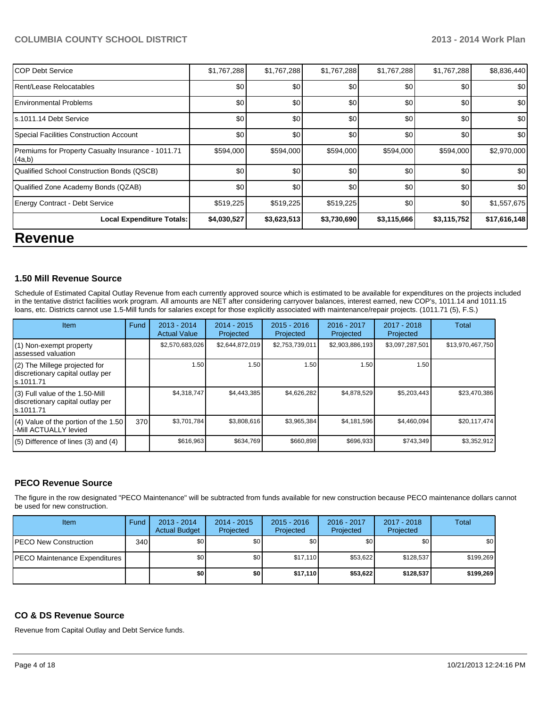### **COLUMBIA COUNTY SCHOOL DISTRICT 2013 - 2014 Work Plan**

| <b>Local Expenditure Totals:</b>                             | \$4,030,527 | \$3,623,513 | \$3,730,690 | \$3,115,666 | \$3,115,752 | \$17,616,148 |
|--------------------------------------------------------------|-------------|-------------|-------------|-------------|-------------|--------------|
| <b>Energy Contract - Debt Service</b>                        | \$519,225   | \$519,225   | \$519,225   | \$0         | \$0         | \$1,557,675  |
| Qualified Zone Academy Bonds (QZAB)                          | \$0         | \$0         | \$0         | \$0         | \$0         | \$0          |
| Qualified School Construction Bonds (QSCB)                   | \$0         | \$0         | \$0         | \$0         | \$0         | \$0          |
| Premiums for Property Casualty Insurance - 1011.71<br>(4a,b) | \$594,000   | \$594,000   | \$594,000   | \$594,000   | \$594,000   | \$2,970,000  |
| Special Facilities Construction Account                      | \$0         | \$0         | \$0         | \$0         | \$0         | \$0          |
| s.1011.14 Debt Service                                       | \$0         | \$0         | \$0         | \$0         | \$0         | \$0          |
| <b>Environmental Problems</b>                                | \$0         | \$0         | \$0         | \$0         | \$0         | \$0          |
| Rent/Lease Relocatables                                      | \$0         | \$0         | \$0         | \$0         | \$0         | \$0          |
| <b>COP Debt Service</b>                                      | \$1,767,288 | \$1,767,288 | \$1,767,288 | \$1,767,288 | \$1,767,288 | \$8,836,440  |

# **Revenue**

### **1.50 Mill Revenue Source**

Schedule of Estimated Capital Outlay Revenue from each currently approved source which is estimated to be available for expenditures on the projects included in the tentative district facilities work program. All amounts are NET after considering carryover balances, interest earned, new COP's, 1011.14 and 1011.15 loans, etc. Districts cannot use 1.5-Mill funds for salaries except for those explicitly associated with maintenance/repair projects. (1011.71 (5), F.S.)

| Item                                                                              | Fund | $2013 - 2014$<br><b>Actual Value</b> | $2014 - 2015$<br>Projected | $2015 - 2016$<br>Projected | $2016 - 2017$<br>Projected | $2017 - 2018$<br>Projected | Total            |
|-----------------------------------------------------------------------------------|------|--------------------------------------|----------------------------|----------------------------|----------------------------|----------------------------|------------------|
| (1) Non-exempt property<br>assessed valuation                                     |      | \$2,570,683,026                      | \$2,644,872,019            | \$2,753,739,011            | \$2,903,886,193            | \$3,097,287,501            | \$13,970,467,750 |
| (2) The Millege projected for<br>discretionary capital outlay per<br>ls.1011.71   |      | 1.50                                 | 1.50 l                     | 1.50                       | 1.50                       | 1.50                       |                  |
| (3) Full value of the 1.50-Mill<br>discretionary capital outlay per<br>ls.1011.71 |      | \$4,318,747                          | \$4,443,385                | \$4,626,282                | \$4,878,529                | \$5,203,443                | \$23,470,386     |
| $(4)$ Value of the portion of the 1.50<br>-Mill ACTUALLY levied                   | 370  | \$3.701.784                          | \$3,808,616                | \$3,965,384                | \$4,181,596                | \$4,460,094                | \$20,117,474     |
| $(5)$ Difference of lines (3) and (4)                                             |      | \$616,963                            | \$634,769                  | \$660,898                  | \$696,933                  | \$743,349                  | \$3,352,912      |

### **PECO Revenue Source**

The figure in the row designated "PECO Maintenance" will be subtracted from funds available for new construction because PECO maintenance dollars cannot be used for new construction.

| Item                                  | Fund | $2013 - 2014$<br><b>Actual Budget</b> | $2014 - 2015$<br>Projected | $2015 - 2016$<br>Projected | 2016 - 2017<br>Projected | 2017 - 2018<br>Projected | Total     |
|---------------------------------------|------|---------------------------------------|----------------------------|----------------------------|--------------------------|--------------------------|-----------|
| <b>PECO New Construction</b>          | 340  | \$0 <sub>1</sub>                      | \$0 <sub>1</sub>           | \$0                        | \$0                      | \$0                      | \$0       |
| <b>IPECO Maintenance Expenditures</b> |      | \$0                                   | \$0 <sub>1</sub>           | \$17.110                   | \$53.622                 | \$128.537                | \$199,269 |
|                                       |      | \$0                                   | \$0                        | \$17.110                   | \$53,622                 | \$128,537                | \$199,269 |

### **CO & DS Revenue Source**

Revenue from Capital Outlay and Debt Service funds.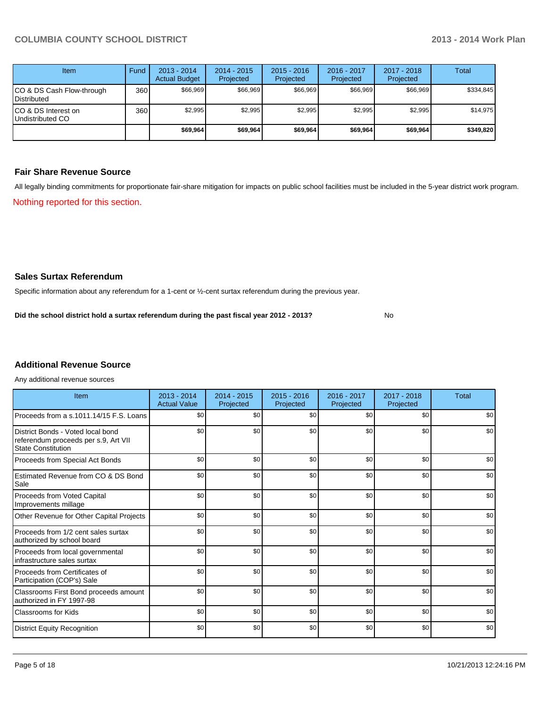| Item                                     | Fund | $2013 - 2014$<br><b>Actual Budget</b> | $2014 - 2015$<br>Projected | $2015 - 2016$<br>Projected | $2016 - 2017$<br>Projected | 2017 - 2018<br>Projected | Total     |
|------------------------------------------|------|---------------------------------------|----------------------------|----------------------------|----------------------------|--------------------------|-----------|
| CO & DS Cash Flow-through<br>Distributed | 360  | \$66.969                              | \$66,969                   | \$66.969                   | \$66.969                   | \$66,969                 | \$334,845 |
| CO & DS Interest on<br>Undistributed CO  | 360  | \$2,995                               | \$2,995                    | \$2,995                    | \$2,995                    | \$2,995                  | \$14,975  |
|                                          |      | \$69,964                              | \$69,964                   | \$69,964                   | \$69,964                   | \$69,964                 | \$349,820 |

#### **Fair Share Revenue Source**

Nothing reported for this section. All legally binding commitments for proportionate fair-share mitigation for impacts on public school facilities must be included in the 5-year district work program.

### **Sales Surtax Referendum**

Specific information about any referendum for a 1-cent or ½-cent surtax referendum during the previous year.

No **Did the school district hold a surtax referendum during the past fiscal year 2012 - 2013?**

## **Additional Revenue Source**

Any additional revenue sources

| Item                                                                                                   | $2013 - 2014$<br><b>Actual Value</b> | $2014 - 2015$<br>Projected | $2015 - 2016$<br>Projected | $2016 - 2017$<br>Projected | $2017 - 2018$<br>Projected | <b>Total</b> |
|--------------------------------------------------------------------------------------------------------|--------------------------------------|----------------------------|----------------------------|----------------------------|----------------------------|--------------|
| Proceeds from a s.1011.14/15 F.S. Loans                                                                | \$0                                  | \$0                        | \$0                        | \$0                        | \$0                        | \$0          |
| District Bonds - Voted local bond<br>referendum proceeds per s.9, Art VII<br><b>State Constitution</b> | \$0                                  | \$0                        | \$0                        | \$0                        | \$0                        | \$0          |
| Proceeds from Special Act Bonds                                                                        | \$0                                  | \$0                        | \$0                        | \$0                        | \$0                        | \$0          |
| Estimated Revenue from CO & DS Bond<br>Sale                                                            | \$0                                  | \$0                        | \$0                        | \$0                        | \$0                        | \$0          |
| Proceeds from Voted Capital<br>Improvements millage                                                    | \$0                                  | \$0                        | \$0                        | \$0                        | \$0                        | \$0          |
| Other Revenue for Other Capital Projects                                                               | \$0                                  | \$0                        | \$0                        | \$0                        | \$0                        | \$0          |
| Proceeds from 1/2 cent sales surtax<br>authorized by school board                                      | \$0                                  | \$0                        | \$0                        | \$0                        | \$0                        | \$0          |
| Proceeds from local governmental<br>infrastructure sales surtax                                        | \$0                                  | \$0                        | \$0                        | \$0                        | \$0                        | \$0          |
| Proceeds from Certificates of<br>Participation (COP's) Sale                                            | \$0                                  | \$0                        | \$0                        | \$0                        | \$0                        | \$0          |
| Classrooms First Bond proceeds amount<br>authorized in FY 1997-98                                      | \$0                                  | \$0                        | \$0                        | \$0                        | \$0                        | \$0          |
| <b>Classrooms for Kids</b>                                                                             | \$0                                  | \$0                        | \$0                        | \$0                        | \$0                        | \$0          |
| <b>District Equity Recognition</b>                                                                     | \$0                                  | \$0                        | \$0                        | \$0                        | \$0                        | \$0          |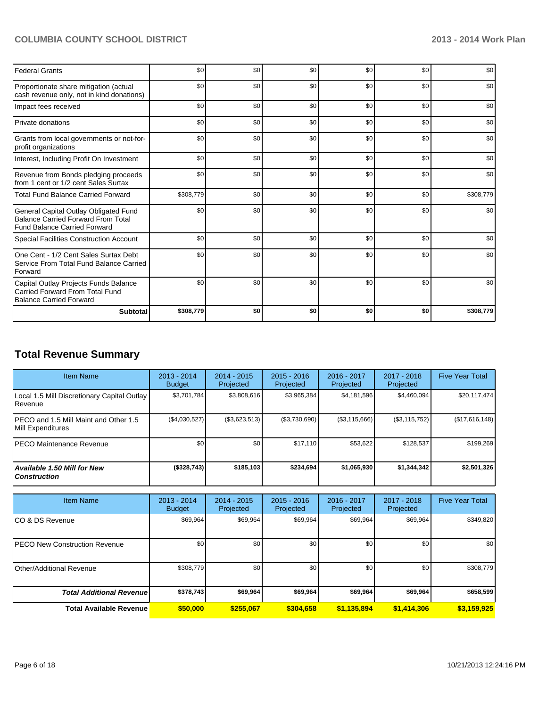## **COLUMBIA COUNTY SCHOOL DISTRICT 2013 - 2014 Work Plan**

| <b>Federal Grants</b>                                                                                              | \$0       | \$0 | \$0 | \$0 | \$0 | \$0       |
|--------------------------------------------------------------------------------------------------------------------|-----------|-----|-----|-----|-----|-----------|
| Proportionate share mitigation (actual<br>cash revenue only, not in kind donations)                                | \$0       | \$0 | \$0 | \$0 | \$0 | \$0       |
| Impact fees received                                                                                               | \$0       | \$0 | \$0 | \$0 | \$0 | \$0       |
| Private donations                                                                                                  | \$0       | \$0 | \$0 | \$0 | \$0 | \$0       |
| Grants from local governments or not-for-<br>profit organizations                                                  | \$0       | \$0 | \$0 | \$0 | \$0 | \$0       |
| Interest, Including Profit On Investment                                                                           | \$0       | \$0 | \$0 | \$0 | \$0 | \$0       |
| Revenue from Bonds pledging proceeds<br>from 1 cent or 1/2 cent Sales Surtax                                       | \$0       | \$0 | \$0 | \$0 | \$0 | \$0       |
| <b>Total Fund Balance Carried Forward</b>                                                                          | \$308,779 | \$0 | \$0 | \$0 | \$0 | \$308,779 |
| General Capital Outlay Obligated Fund<br><b>Balance Carried Forward From Total</b><br>Fund Balance Carried Forward | \$0       | \$0 | \$0 | \$0 | \$0 | \$0       |
| <b>Special Facilities Construction Account</b>                                                                     | \$0       | \$0 | \$0 | \$0 | \$0 | \$0       |
| One Cent - 1/2 Cent Sales Surtax Debt<br>Service From Total Fund Balance Carried<br>Forward                        | \$0       | \$0 | \$0 | \$0 | \$0 | \$0       |
| Capital Outlay Projects Funds Balance<br>Carried Forward From Total Fund<br><b>Balance Carried Forward</b>         | \$0       | \$0 | \$0 | \$0 | \$0 | \$0       |
| <b>Subtotal</b>                                                                                                    | \$308,779 | \$0 | \$0 | \$0 | \$0 | \$308,779 |

# **Total Revenue Summary**

| <b>Item Name</b>                                            | $2013 - 2014$<br><b>Budget</b> | $2014 - 2015$<br>Projected | $2015 - 2016$<br>Projected | $2016 - 2017$<br>Projected | 2017 - 2018<br>Projected | <b>Five Year Total</b> |
|-------------------------------------------------------------|--------------------------------|----------------------------|----------------------------|----------------------------|--------------------------|------------------------|
| Local 1.5 Mill Discretionary Capital Outlay<br>l Revenue    | \$3.701.784                    | \$3,808,616                | \$3,965,384                | \$4,181,596                | \$4,460,094              | \$20,117,474           |
| IPECO and 1.5 Mill Maint and Other 1.5<br>Mill Expenditures | (\$4,030,527)                  | (\$3,623,513)              | (S3,730,690)               | (S3, 115, 666)             | (\$3,115,752)            | (\$17,616,148)         |
| <b>IPECO Maintenance Revenue</b>                            | \$0 <sub>1</sub>               | \$0 <sub>1</sub>           | \$17,110                   | \$53,622                   | \$128,537                | \$199,269              |
| Available 1.50 Mill for New<br>l Construction               | (\$328,743)                    | \$185,103                  | \$234.694                  | \$1,065,930                | \$1,344,342              | \$2,501,326            |

| <b>Item Name</b>                      | 2013 - 2014<br><b>Budget</b> | $2014 - 2015$<br>Projected | $2015 - 2016$<br>Projected | 2016 - 2017<br>Projected | 2017 - 2018<br>Projected | <b>Five Year Total</b> |
|---------------------------------------|------------------------------|----------------------------|----------------------------|--------------------------|--------------------------|------------------------|
| ICO & DS Revenue                      | \$69,964                     | \$69,964                   | \$69,964                   | \$69,964                 | \$69,964                 | \$349,820              |
| <b>IPECO New Construction Revenue</b> | \$0                          | \$0 <sub>1</sub>           | \$0                        | \$0                      | \$0                      | \$0                    |
| Other/Additional Revenue              | \$308,779                    | \$0                        | \$0                        | \$0                      | \$0                      | \$308,779              |
| <b>Total Additional Revenuel</b>      | \$378,743                    | \$69,964                   | \$69,964                   | \$69,964                 | \$69,964                 | \$658,599              |
| <b>Total Available Revenue</b>        | \$50,000                     | \$255,067                  | \$304,658                  | \$1,135,894              | \$1,414,306              | \$3,159,925            |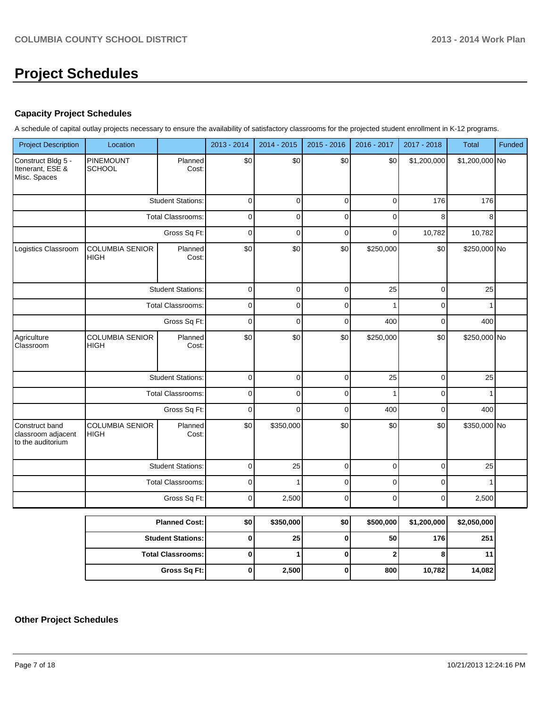# **Project Schedules**

### **Capacity Project Schedules**

A schedule of capital outlay projects necessary to ensure the availability of satisfactory classrooms for the projected student enrollment in K-12 programs.

| <b>Project Description</b>                                | Location                              |                          | 2013 - 2014 | 2014 - 2015 | $2015 - 2016$  | 2016 - 2017    | 2017 - 2018  | Total          | Funded |
|-----------------------------------------------------------|---------------------------------------|--------------------------|-------------|-------------|----------------|----------------|--------------|----------------|--------|
| Construct Bldg 5 -<br>Itenerant, ESE &<br>Misc. Spaces    | PINEMOUNT<br><b>SCHOOL</b>            | Planned<br>Cost:         | \$0         | \$0         | \$0            | \$0            | \$1,200,000  | \$1,200,000 No |        |
|                                                           |                                       | <b>Student Stations:</b> | 0           | $\mathbf 0$ | $\overline{0}$ | $\overline{0}$ | 176          | 176            |        |
|                                                           |                                       | <b>Total Classrooms:</b> | 0           | $\Omega$    | $\mathbf 0$    | 0              | 8            | 8              |        |
|                                                           |                                       | Gross Sq Ft:             | 0           | $\mathbf 0$ | 0              | 0              | 10,782       | 10,782         |        |
| Logistics Classroom                                       | <b>COLUMBIA SENIOR</b><br><b>HIGH</b> | Planned<br>Cost:         | \$0         | \$0         | \$0            | \$250,000      | \$0          | \$250,000 No   |        |
|                                                           |                                       | <b>Student Stations:</b> | $\mathbf 0$ | $\mathbf 0$ | $\mathbf 0$    | 25             | $\mathbf 0$  | 25             |        |
|                                                           |                                       | <b>Total Classrooms:</b> | 0           | $\mathbf 0$ | $\mathbf 0$    |                | $\pmb{0}$    |                |        |
|                                                           |                                       | Gross Sq Ft:             | 0           | $\mathbf 0$ | $\mathbf 0$    | 400            | 0            | 400            |        |
| Agriculture<br>Classroom                                  | <b>COLUMBIA SENIOR</b><br><b>HIGH</b> | Planned<br>Cost:         | \$0<br>\$0  | \$0         | \$250,000      | \$0            | \$250,000 No |                |        |
|                                                           |                                       | <b>Student Stations:</b> | 0           | $\Omega$    | $\overline{0}$ | 25             | $\mathbf 0$  | 25             |        |
|                                                           |                                       | <b>Total Classrooms:</b> | 0           | $\Omega$    | $\Omega$       |                | $\Omega$     |                |        |
|                                                           |                                       | Gross Sq Ft:             | $\mathbf 0$ | $\Omega$    | $\mathbf 0$    | 400            | 0            | 400            |        |
| Construct band<br>classroom adjacent<br>to the auditorium | <b>COLUMBIA SENIOR</b><br><b>HIGH</b> | Planned<br>Cost:         | \$0         | \$350,000   | \$0            | \$0            | \$0          | \$350,000 No   |        |
|                                                           |                                       | <b>Student Stations:</b> | $\pmb{0}$   | 25          | $\mathbf 0$    | 0              | $\mathbf 0$  | 25             |        |
|                                                           |                                       | <b>Total Classrooms:</b> | $\mathbf 0$ |             | $\mathbf 0$    | 0              | $\pmb{0}$    |                |        |
|                                                           |                                       | Gross Sq Ft:             | 0           | 2,500       | $\overline{0}$ | $\overline{0}$ | $\pmb{0}$    | 2,500          |        |

| <b>Planned Cost:</b>       | \$0 | \$350,000 | \$0 | \$500,000 | \$1,200,000 | \$2,050,000 |
|----------------------------|-----|-----------|-----|-----------|-------------|-------------|
| <b>Student Stations: I</b> |     | 25        |     | 50        | 176         | 251         |
| <b>Total Classrooms:</b>   |     |           |     |           |             | 11          |
| Gross Sq Ft:               | 0   | 2,500     |     | 800       | 10,782      | 14,082      |

# **Other Project Schedules**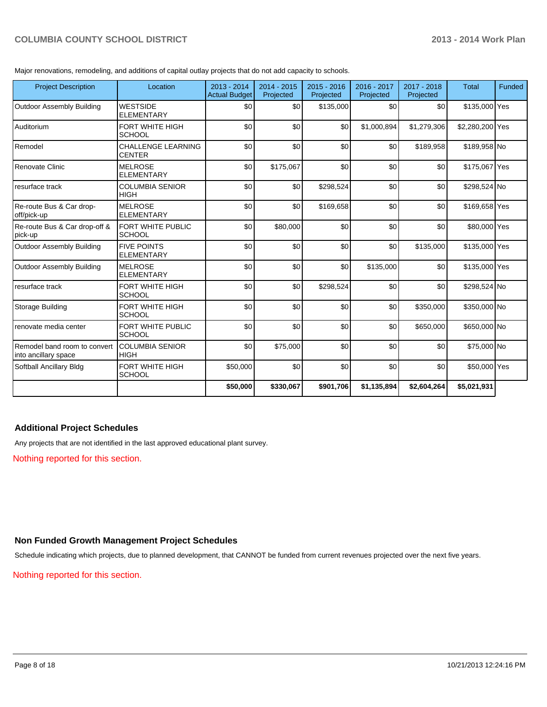## **COLUMBIA COUNTY SCHOOL DISTRICT 2013 - 2014 Work Plan**

Major renovations, remodeling, and additions of capital outlay projects that do not add capacity to schools.

| <b>Project Description</b>                           | Location                                | 2013 - 2014<br><b>Actual Budget</b> | 2014 - 2015<br>Projected | $2015 - 2016$<br>Projected | 2016 - 2017<br>Projected | $2017 - 2018$<br>Projected | <b>Total</b>    | Funded |
|------------------------------------------------------|-----------------------------------------|-------------------------------------|--------------------------|----------------------------|--------------------------|----------------------------|-----------------|--------|
| <b>Outdoor Assembly Building</b>                     | <b>WESTSIDE</b><br><b>ELEMENTARY</b>    | \$0                                 | \$0                      | \$135,000                  | \$0                      | \$0                        | \$135,000 Yes   |        |
| l Auditorium                                         | FORT WHITE HIGH<br><b>SCHOOL</b>        | \$0                                 | \$0                      | \$0                        | \$1,000,894              | \$1,279,306                | \$2,280,200 Yes |        |
| Remodel                                              | CHALLENGE LEARNING<br><b>CENTER</b>     | \$0                                 | \$0                      | \$0                        | \$0                      | \$189,958                  | \$189,958 No    |        |
| Renovate Clinic                                      | <b>MELROSE</b><br><b>ELEMENTARY</b>     | \$0                                 | \$175,067                | \$0                        | \$0                      | \$0                        | \$175,067 Yes   |        |
| resurface track                                      | <b>COLUMBIA SENIOR</b><br><b>HIGH</b>   | \$0                                 | \$0                      | \$298,524                  | \$0                      | \$0                        | \$298,524 No    |        |
| Re-route Bus & Car drop-<br>off/pick-up              | <b>MELROSE</b><br><b>ELEMENTARY</b>     | \$0                                 | \$0                      | \$169,658                  | \$0                      | \$0                        | \$169,658 Yes   |        |
| Re-route Bus & Car drop-off &<br>pick-up             | FORT WHITE PUBLIC<br><b>SCHOOL</b>      | \$0                                 | \$80,000                 | \$0                        | \$0                      | \$0                        | \$80,000 Yes    |        |
| <b>Outdoor Assembly Building</b>                     | <b>FIVE POINTS</b><br><b>ELEMENTARY</b> | \$0                                 | \$0                      | \$0                        | \$0                      | \$135,000                  | \$135,000 Yes   |        |
| <b>Outdoor Assembly Building</b>                     | <b>MELROSE</b><br><b>ELEMENTARY</b>     | \$0                                 | \$0                      | \$0                        | \$135,000                | \$0                        | \$135,000 Yes   |        |
| resurface track                                      | <b>FORT WHITE HIGH</b><br><b>SCHOOL</b> | \$0                                 | \$0                      | \$298,524                  | \$0                      | \$0                        | \$298,524 No    |        |
| Storage Building                                     | FORT WHITE HIGH<br><b>SCHOOL</b>        | \$0                                 | \$0                      | \$0                        | \$0                      | \$350,000                  | \$350,000 No    |        |
| renovate media center                                | FORT WHITE PUBLIC<br><b>SCHOOL</b>      | \$0                                 | \$0                      | \$0                        | \$0                      | \$650,000                  | \$650,000 No    |        |
| Remodel band room to convert<br>into ancillary space | <b>COLUMBIA SENIOR</b><br><b>HIGH</b>   | \$0                                 | \$75,000                 | \$0                        | \$0                      | \$0                        | \$75,000 No     |        |
| Softball Ancillary Bldg                              | FORT WHITE HIGH<br><b>SCHOOL</b>        | \$50,000                            | \$0                      | \$0                        | \$0                      | \$0                        | \$50,000 Yes    |        |
|                                                      |                                         | \$50,000                            | \$330,067                | \$901,706                  | \$1,135,894              | \$2,604,264                | \$5,021,931     |        |

### **Additional Project Schedules**

Any projects that are not identified in the last approved educational plant survey.

Nothing reported for this section.

### **Non Funded Growth Management Project Schedules**

Schedule indicating which projects, due to planned development, that CANNOT be funded from current revenues projected over the next five years.

Nothing reported for this section.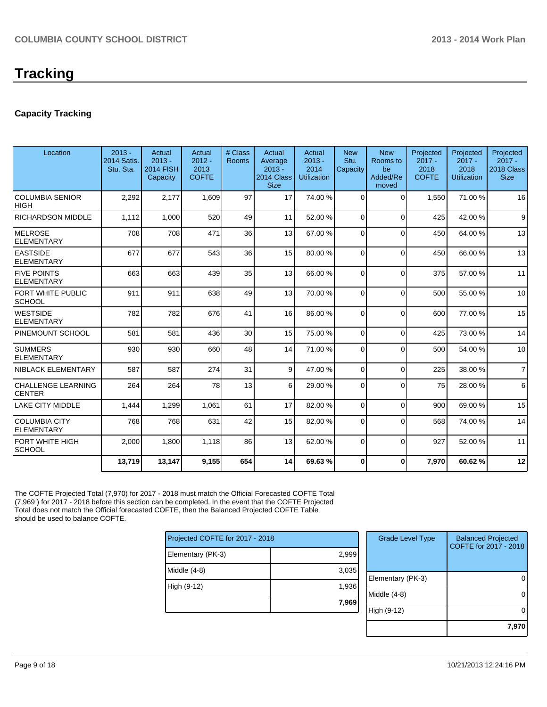# **Tracking**

## **Capacity Tracking**

| Location                                   | $2013 -$<br><b>2014 Satis.</b><br>Stu. Sta. | Actual<br>$2013 -$<br><b>2014 FISH</b><br>Capacity | Actual<br>$2012 -$<br>2013<br><b>COFTE</b> | # Class<br><b>Rooms</b> | Actual<br>Average<br>$2013 -$<br>2014 Class<br><b>Size</b> | Actual<br>$2013 -$<br>2014<br><b>Utilization</b> | <b>New</b><br>Stu.<br>Capacity | <b>New</b><br>Rooms to<br>be<br>Added/Re<br>moved | Projected<br>$2017 -$<br>2018<br><b>COFTE</b> | Projected<br>$2017 -$<br>2018<br>Utilization | Projected<br>$2017 -$<br>2018 Class<br><b>Size</b> |
|--------------------------------------------|---------------------------------------------|----------------------------------------------------|--------------------------------------------|-------------------------|------------------------------------------------------------|--------------------------------------------------|--------------------------------|---------------------------------------------------|-----------------------------------------------|----------------------------------------------|----------------------------------------------------|
| <b>COLUMBIA SENIOR</b><br><b>HIGH</b>      | 2,292                                       | 2,177                                              | 1,609                                      | 97                      | 17                                                         | 74.00 %                                          | $\Omega$                       | $\Omega$                                          | 1,550                                         | 71.00 %                                      | 16                                                 |
| <b>RICHARDSON MIDDLE</b>                   | 1,112                                       | 1,000                                              | 520                                        | 49                      | 11                                                         | 52.00 %                                          | $\overline{0}$                 | $\Omega$                                          | 425                                           | 42.00%                                       | 9                                                  |
| <b>MELROSE</b><br><b>ELEMENTARY</b>        | 708                                         | 708                                                | 471                                        | 36                      | 13                                                         | 67.00 %                                          | $\Omega$                       | $\Omega$                                          | 450                                           | 64.00%                                       | 13                                                 |
| <b>EASTSIDE</b><br><b>ELEMENTARY</b>       | 677                                         | 677                                                | 543                                        | 36                      | 15                                                         | 80.00 %                                          | $\Omega$                       | $\Omega$                                          | 450                                           | 66.00 %                                      | 13                                                 |
| <b>FIVE POINTS</b><br><b>ELEMENTARY</b>    | 663                                         | 663                                                | 439                                        | 35                      | 13                                                         | 66.00 %                                          | $\Omega$                       | $\Omega$                                          | 375                                           | 57.00 %                                      | 11                                                 |
| <b>FORT WHITE PUBLIC</b><br>SCHOOL         | 911                                         | 911                                                | 638                                        | 49                      | 13                                                         | 70.00 %                                          | $\Omega$                       | $\Omega$                                          | 500                                           | 55.00 %                                      | 10                                                 |
| <b>WESTSIDE</b><br><b>ELEMENTARY</b>       | 782                                         | 782                                                | 676                                        | 41                      | 16                                                         | 86.00 %                                          | $\Omega$                       | $\Omega$                                          | 600                                           | 77.00 %                                      | 15                                                 |
| PINEMOUNT SCHOOL                           | 581                                         | 581                                                | 436                                        | 30                      | 15                                                         | 75.00 %                                          | $\Omega$                       | $\Omega$                                          | 425                                           | 73.00 %                                      | 14                                                 |
| <b>SUMMERS</b><br><b>ELEMENTARY</b>        | 930                                         | 930                                                | 660                                        | 48                      | 14                                                         | 71.00 %                                          | $\Omega$                       | $\Omega$                                          | 500                                           | 54.00 %                                      | 10                                                 |
| NIBLACK ELEMENTARY                         | 587                                         | 587                                                | 274                                        | 31                      | $\vert$                                                    | 47.00 %                                          | $\Omega$                       | $\Omega$                                          | 225                                           | 38.00 %                                      | $\overline{7}$                                     |
| <b>CHALLENGE LEARNING</b><br><b>CENTER</b> | 264                                         | 264                                                | 78                                         | 13                      | $6 \mid$                                                   | 29.00 %                                          | $\Omega$                       | $\Omega$                                          | 75                                            | 28.00 %                                      | 6                                                  |
| <b>LAKE CITY MIDDLE</b>                    | 1,444                                       | 1,299                                              | 1,061                                      | 61                      | 17                                                         | 82.00 %                                          | $\overline{0}$                 | $\Omega$                                          | 900                                           | 69.00 %                                      | 15                                                 |
| <b>COLUMBIA CITY</b><br><b>ELEMENTARY</b>  | 768                                         | 768                                                | 631                                        | 42                      | 15                                                         | 82.00 %                                          | $\Omega$                       | $\Omega$                                          | 568                                           | 74.00 %                                      | 14                                                 |
| FORT WHITE HIGH<br><b>SCHOOL</b>           | 2,000                                       | 1,800                                              | 1,118                                      | 86                      | 13                                                         | 62.00 %                                          | $\Omega$                       | $\Omega$                                          | 927                                           | 52.00 %                                      | 11                                                 |
|                                            | 13,719                                      | 13,147                                             | 9,155                                      | 654                     | 14                                                         | 69.63%                                           | $\bf{0}$                       | $\bf{0}$                                          | 7,970                                         | 60.62%                                       | 12                                                 |
|                                            |                                             |                                                    |                                            |                         |                                                            |                                                  |                                |                                                   |                                               |                                              |                                                    |

The COFTE Projected Total (7,970) for 2017 - 2018 must match the Official Forecasted COFTE Total (7,969 ) for 2017 - 2018 before this section can be completed. In the event that the COFTE Projected Total does not match the Official forecasted COFTE, then the Balanced Projected COFTE Table should be used to balance COFTE.

| Projected COFTE for 2017 - 2018 |       |
|---------------------------------|-------|
| Elementary (PK-3)               | 2,999 |
| Middle $(4-8)$                  | 3,035 |
| High (9-12)                     | 1,936 |
|                                 | 7,969 |
|                                 |       |

| <b>Grade Level Type</b> | <b>Balanced Projected</b><br>COFTE for 2017 - 2018 |
|-------------------------|----------------------------------------------------|
|                         |                                                    |
|                         |                                                    |
| Elementary (PK-3)       |                                                    |
| Middle $(4-8)$          |                                                    |
| High (9-12)             |                                                    |
|                         | 7.9                                                |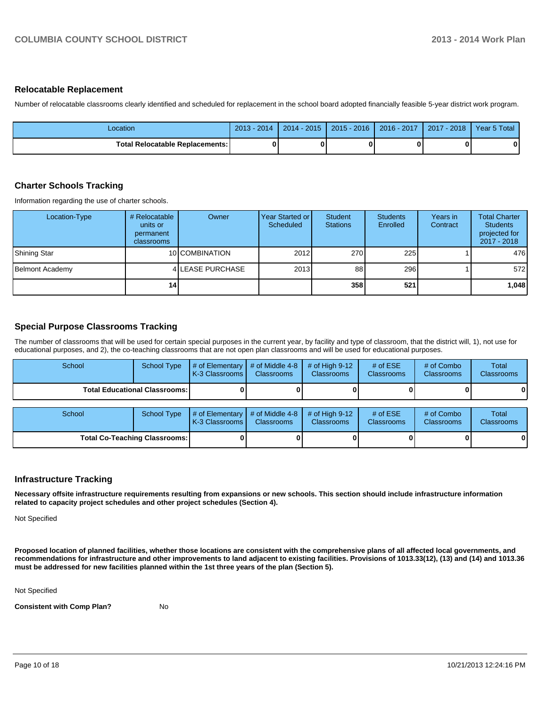#### **Relocatable Replacement**

Number of relocatable classrooms clearly identified and scheduled for replacement in the school board adopted financially feasible 5-year district work program.

| Location                          | $2013 -$<br>$-2014$ | $2014 - 2015$ | 2015 - 2016 | 2016 - 2017 | $2017 - 2018$ | Year 5 Total |
|-----------------------------------|---------------------|---------------|-------------|-------------|---------------|--------------|
| Total Relocatable Replacements: I |                     |               |             |             |               | 0            |

### **Charter Schools Tracking**

Information regarding the use of charter schools.

| Location-Type   | # Relocatable<br>units or<br>permanent<br>classrooms | Owner            | Year Started or I<br>Scheduled | <b>Student</b><br><b>Stations</b> | <b>Students</b><br>Enrolled | Years in<br>Contract | <b>Total Charter</b><br><b>Students</b><br>projected for<br>2017 - 2018 |
|-----------------|------------------------------------------------------|------------------|--------------------------------|-----------------------------------|-----------------------------|----------------------|-------------------------------------------------------------------------|
| Shining Star    |                                                      | 10 COMBINATION   | 2012                           | 270                               | 225                         |                      | 476                                                                     |
| Belmont Academy |                                                      | 4 LEASE PURCHASE | 2013                           | 88                                | 296                         |                      | 572                                                                     |
|                 | 14 <sub>1</sub>                                      |                  |                                | 358                               | 521                         |                      | 1,048                                                                   |

### **Special Purpose Classrooms Tracking**

The number of classrooms that will be used for certain special purposes in the current year, by facility and type of classroom, that the district will, 1), not use for educational purposes, and 2), the co-teaching classrooms that are not open plan classrooms and will be used for educational purposes.

| School                                 | <b>School Type</b> | # of Elementary<br>K-3 Classrooms   | # of Middle 4-8<br><b>Classrooms</b> | # of High $9-12$<br><b>Classrooms</b> | # of $ESE$<br><b>Classrooms</b> | # of Combo<br>Classrooms | Total<br>Classrooms |
|----------------------------------------|--------------------|-------------------------------------|--------------------------------------|---------------------------------------|---------------------------------|--------------------------|---------------------|
| <b>Total Educational Classrooms: I</b> |                    |                                     |                                      |                                       |                                 |                          |                     |
| School                                 | <b>School Type</b> | # of Elementary<br>K-3 Classrooms I | # of Middle 4-8<br><b>Classrooms</b> | # of High $9-12$<br><b>Classrooms</b> | # of $ESE$<br><b>Classrooms</b> | # of Combo<br>Classrooms | Total<br>Classrooms |
| <b>Total Co-Teaching Classrooms:</b>   |                    |                                     |                                      |                                       |                                 | 01                       |                     |

### **Infrastructure Tracking**

**Necessary offsite infrastructure requirements resulting from expansions or new schools. This section should include infrastructure information related to capacity project schedules and other project schedules (Section 4).**

Not Specified

**Proposed location of planned facilities, whether those locations are consistent with the comprehensive plans of all affected local governments, and recommendations for infrastructure and other improvements to land adjacent to existing facilities. Provisions of 1013.33(12), (13) and (14) and 1013.36 must be addressed for new facilities planned within the 1st three years of the plan (Section 5).**

Not Specified

**Consistent with Comp Plan?** No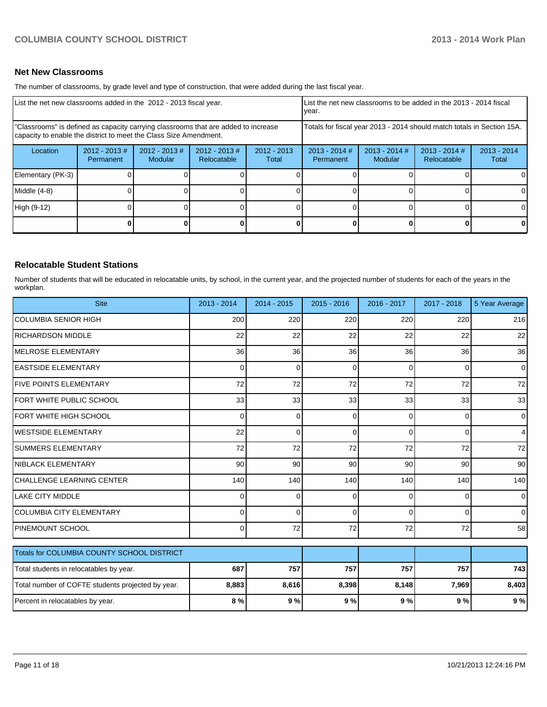### **Net New Classrooms**

The number of classrooms, by grade level and type of construction, that were added during the last fiscal year.

| List the net new classrooms added in the 2012 - 2013 fiscal year.                                                                                       |                               |                            |                                 |                                                                        | List the net new classrooms to be added in the 2013 - 2014 fiscal<br>Ivear. |                            |                                |                        |
|---------------------------------------------------------------------------------------------------------------------------------------------------------|-------------------------------|----------------------------|---------------------------------|------------------------------------------------------------------------|-----------------------------------------------------------------------------|----------------------------|--------------------------------|------------------------|
| "Classrooms" is defined as capacity carrying classrooms that are added to increase<br>capacity to enable the district to meet the Class Size Amendment. |                               |                            |                                 | Totals for fiscal year 2013 - 2014 should match totals in Section 15A. |                                                                             |                            |                                |                        |
| Location                                                                                                                                                | $2012 - 2013 \#$<br>Permanent | $2012 - 2013$ #<br>Modular | $2012 - 2013 \#$<br>Relocatable | $2012 - 2013$<br>Total                                                 |                                                                             | $2013 - 2014$ #<br>Modular | $2013 - 2014$ #<br>Relocatable | $2013 - 2014$<br>Total |
| Elementary (PK-3)                                                                                                                                       |                               |                            |                                 |                                                                        |                                                                             |                            |                                | 0                      |
| Middle (4-8)                                                                                                                                            |                               |                            |                                 |                                                                        |                                                                             |                            |                                | $\Omega$               |
| High (9-12)                                                                                                                                             |                               |                            |                                 |                                                                        |                                                                             |                            |                                | $\Omega$               |
|                                                                                                                                                         |                               |                            |                                 |                                                                        |                                                                             |                            | 0                              | $\mathbf{0}$           |

### **Relocatable Student Stations**

Number of students that will be educated in relocatable units, by school, in the current year, and the projected number of students for each of the years in the workplan.

| <b>Site</b>                                       | 2013 - 2014 | $2014 - 2015$ | $2015 - 2016$ | 2016 - 2017 | 2017 - 2018 | 5 Year Average |
|---------------------------------------------------|-------------|---------------|---------------|-------------|-------------|----------------|
| <b>COLUMBIA SENIOR HIGH</b>                       | 200         | 220           | 220           | 220         | 220         | 216            |
| <b>RICHARDSON MIDDLE</b>                          | 22          | 22            | 22            | 22          | 22          | 22             |
| <b>MELROSE ELEMENTARY</b>                         | 36          | 36            | 36            | 36          | 36          | 36             |
| <b>EASTSIDE ELEMENTARY</b>                        | $\Omega$    | 0             | $\Omega$      | $\Omega$    | $\Omega$    | $\Omega$       |
| <b>FIVE POINTS ELEMENTARY</b>                     | 72          | 72            | 72            | 72          | 72          | 72             |
| FORT WHITE PUBLIC SCHOOL                          | 33          | 33            | 33            | 33          | 33          | 33             |
| FORT WHITE HIGH SCHOOL                            | 0           | 0             | $\Omega$      | 0           | $\Omega$    | 0              |
| <b>I</b> WESTSIDE ELEMENTARY                      | 22          | 0             | 0             | $\Omega$    | $\Omega$    |                |
| <b>SUMMERS ELEMENTARY</b>                         | 72          | 72            | 72            | 72          | 72          | 72             |
| NIBLACK ELEMENTARY                                | 90          | 90            | 90            | 90          | 90          | 90             |
| CHALLENGE LEARNING CENTER                         | 140         | 140           | 140           | 140         | 140         | 140            |
| <b>LAKE CITY MIDDLE</b>                           | $\Omega$    | 0             | $\Omega$      | $\Omega$    | 0           | $\Omega$       |
| <b>COLUMBIA CITY ELEMENTARY</b>                   | 0           | 0             | $\Omega$      | 0           | 0           | 0              |
| PINEMOUNT SCHOOL                                  | 0           | 72            | 72            | 72          | 72          | 58             |
| Totals for COLUMBIA COUNTY SCHOOL DISTRICT        |             |               |               |             |             |                |
| Total students in relocatables by year.           | 687         | 757           | 757           | 757         | 757         | 743            |
| Total number of COFTE students projected by year. | 8,883       | 8,616         | 8,398         | 8,148       | 7,969       | 8,403          |
| Percent in relocatables by year.                  | 8%          | 9%            | 9%            | 9%          | 9%          | 9%             |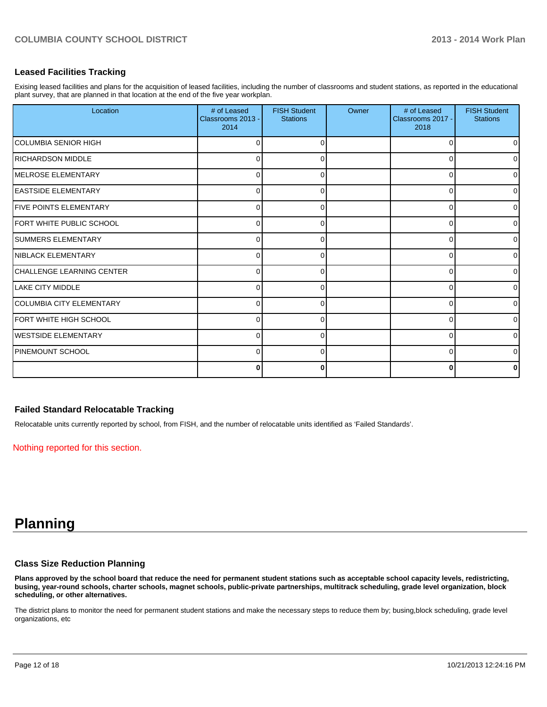### **Leased Facilities Tracking**

Exising leased facilities and plans for the acquisition of leased facilities, including the number of classrooms and student stations, as reported in the educational plant survey, that are planned in that location at the end of the five year workplan.

| Location                          | # of Leased<br>Classrooms 2013 -<br>2014 | <b>FISH Student</b><br><b>Stations</b> | Owner | # of Leased<br>Classrooms 2017 -<br>2018 | <b>FISH Student</b><br><b>Stations</b> |
|-----------------------------------|------------------------------------------|----------------------------------------|-------|------------------------------------------|----------------------------------------|
| ICOLUMBIA SENIOR HIGH             | O                                        |                                        |       | O                                        | 0                                      |
| <b>RICHARDSON MIDDLE</b>          | U                                        |                                        |       |                                          | $\overline{0}$                         |
| <b>IMELROSE ELEMENTARY</b>        | $\Omega$                                 |                                        |       | ∩                                        | $\overline{0}$                         |
| <b>IEASTSIDE ELEMENTARY</b>       | 0                                        |                                        |       | $\Omega$                                 | $\overline{0}$                         |
| <b>IFIVE POINTS ELEMENTARY</b>    | 0                                        | 0                                      |       | 0                                        | $\overline{0}$                         |
| FORT WHITE PUBLIC SCHOOL          | 0                                        | n                                      |       | 0                                        | $\overline{0}$                         |
| <b>ISUMMERS ELEMENTARY</b>        | $\Omega$                                 |                                        |       | $\Omega$                                 | $\overline{0}$                         |
| <b>INIBLACK ELEMENTARY</b>        | $\Omega$                                 |                                        |       | ∩                                        | $\overline{0}$                         |
| <b>ICHALLENGE LEARNING CENTER</b> | $\Omega$                                 |                                        |       | 0                                        | $\overline{0}$                         |
| <b>ILAKE CITY MIDDLE</b>          | 0                                        | 0                                      |       | $\Omega$                                 | $\overline{0}$                         |
| ICOLUMBIA CITY ELEMENTARY         | 0                                        | <sup>0</sup>                           |       | $\Omega$                                 | $\overline{0}$                         |
| IFORT WHITE HIGH SCHOOL           | $\Omega$                                 |                                        |       | $\Omega$                                 | $\overline{0}$                         |
| <b>I</b> WESTSIDE ELEMENTARY      | $\Omega$                                 |                                        |       | n                                        | $\overline{0}$                         |
| IPINEMOUNT SCHOOL                 | 0                                        |                                        |       | n                                        | $\overline{0}$                         |
|                                   | 0                                        | 0                                      |       | 0                                        | $\mathbf{0}$                           |

### **Failed Standard Relocatable Tracking**

Relocatable units currently reported by school, from FISH, and the number of relocatable units identified as 'Failed Standards'.

Nothing reported for this section.

# **Planning**

#### **Class Size Reduction Planning**

**Plans approved by the school board that reduce the need for permanent student stations such as acceptable school capacity levels, redistricting, busing, year-round schools, charter schools, magnet schools, public-private partnerships, multitrack scheduling, grade level organization, block scheduling, or other alternatives.**

The district plans to monitor the need for permanent student stations and make the necessary steps to reduce them by; busing,block scheduling, grade level organizations, etc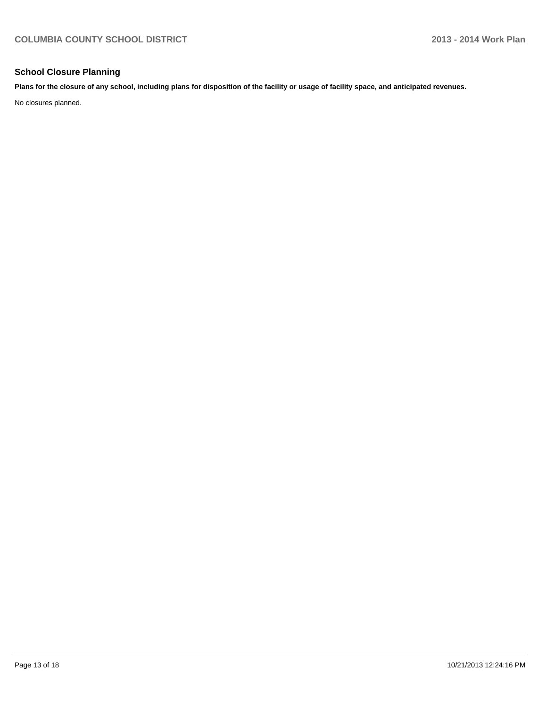### **School Closure Planning**

**Plans for the closure of any school, including plans for disposition of the facility or usage of facility space, and anticipated revenues.**

No closures planned.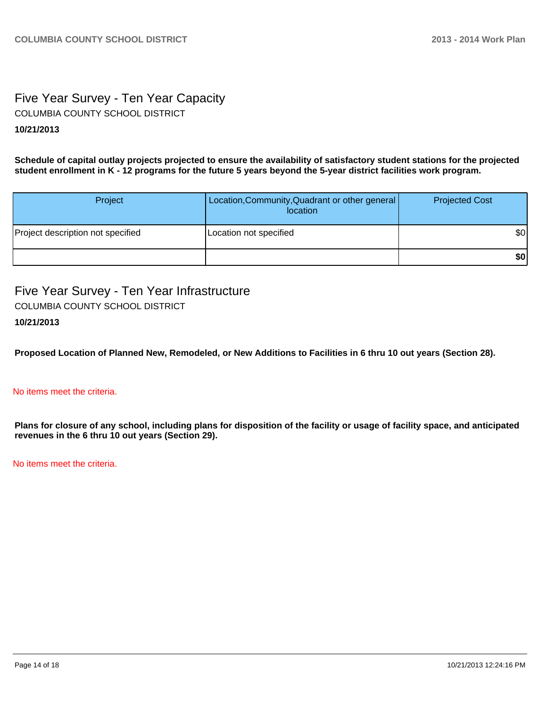# Five Year Survey - Ten Year Capacity COLUMBIA COUNTY SCHOOL DISTRICT

## **10/21/2013**

**Schedule of capital outlay projects projected to ensure the availability of satisfactory student stations for the projected student enrollment in K - 12 programs for the future 5 years beyond the 5-year district facilities work program.**

| Project                           | Location, Community, Quadrant or other general<br>location | <b>Projected Cost</b> |
|-----------------------------------|------------------------------------------------------------|-----------------------|
| Project description not specified | Location not specified                                     | \$0                   |
|                                   |                                                            | \$0                   |

Five Year Survey - Ten Year Infrastructure COLUMBIA COUNTY SCHOOL DISTRICT

# **10/21/2013**

**Proposed Location of Planned New, Remodeled, or New Additions to Facilities in 6 thru 10 out years (Section 28).**

### No items meet the criteria.

**Plans for closure of any school, including plans for disposition of the facility or usage of facility space, and anticipated revenues in the 6 thru 10 out years (Section 29).**

No items meet the criteria.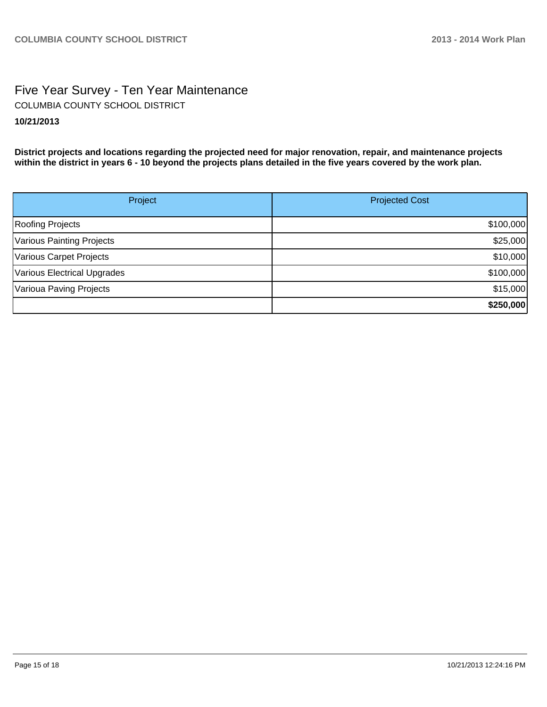# Five Year Survey - Ten Year Maintenance **10/21/2013** COLUMBIA COUNTY SCHOOL DISTRICT

**District projects and locations regarding the projected need for major renovation, repair, and maintenance projects within the district in years 6 - 10 beyond the projects plans detailed in the five years covered by the work plan.**

| Project                     | <b>Projected Cost</b> |
|-----------------------------|-----------------------|
| Roofing Projects            | \$100,000             |
| Various Painting Projects   | \$25,000              |
| Various Carpet Projects     | \$10,000              |
| Various Electrical Upgrades | \$100,000             |
| Varioua Paving Projects     | \$15,000              |
|                             | \$250,000             |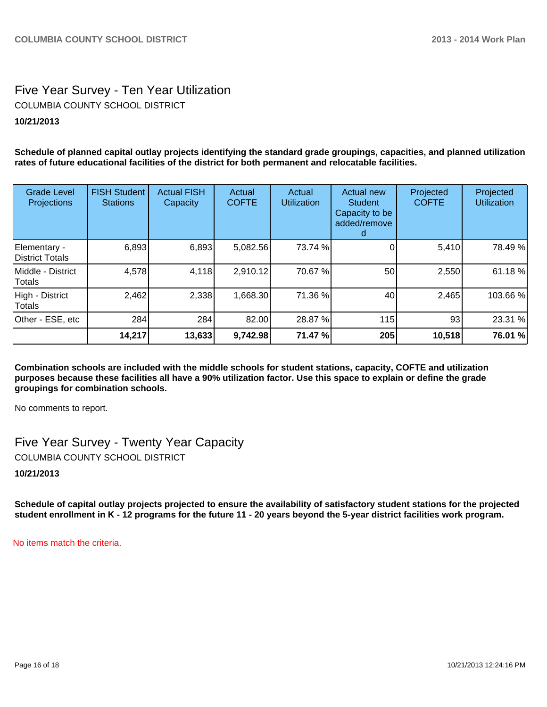# Five Year Survey - Ten Year Utilization **10/21/2013** COLUMBIA COUNTY SCHOOL DISTRICT

**Schedule of planned capital outlay projects identifying the standard grade groupings, capacities, and planned utilization rates of future educational facilities of the district for both permanent and relocatable facilities.**

| <b>Grade Level</b><br>Projections | <b>FISH Student</b><br><b>Stations</b> | <b>Actual FISH</b><br>Capacity | Actual<br><b>COFTE</b> | Actual<br><b>Utilization</b> | Actual new<br><b>Student</b><br>Capacity to be<br>added/remove | Projected<br><b>COFTE</b> | Projected<br><b>Utilization</b> |
|-----------------------------------|----------------------------------------|--------------------------------|------------------------|------------------------------|----------------------------------------------------------------|---------------------------|---------------------------------|
| Elementary -<br>District Totals   | 6,893                                  | 6,893                          | 5,082.56               | 73.74 %                      |                                                                | 5,410                     | 78.49 %                         |
| IMiddle - District<br>Totals      | 4,578                                  | 4,118                          | 2,910.12               | 70.67 %                      | 50                                                             | 2,550                     | 61.18 %                         |
| High - District<br>Totals         | 2,462                                  | 2,338                          | 1,668.30               | 71.36 %                      | 40                                                             | 2,465                     | 103.66%                         |
| Other - ESE, etc                  | 284                                    | 284                            | 82.00                  | 28.87 %                      | 115                                                            | 93                        | 23.31 %                         |
|                                   | 14,217                                 | 13,633                         | 9,742.98               | 71.47 %                      | 205                                                            | 10,518                    | 76.01 %                         |

**Combination schools are included with the middle schools for student stations, capacity, COFTE and utilization purposes because these facilities all have a 90% utilization factor. Use this space to explain or define the grade groupings for combination schools.**

No comments to report.

Five Year Survey - Twenty Year Capacity COLUMBIA COUNTY SCHOOL DISTRICT

**10/21/2013**

**Schedule of capital outlay projects projected to ensure the availability of satisfactory student stations for the projected student enrollment in K - 12 programs for the future 11 - 20 years beyond the 5-year district facilities work program.**

No items match the criteria.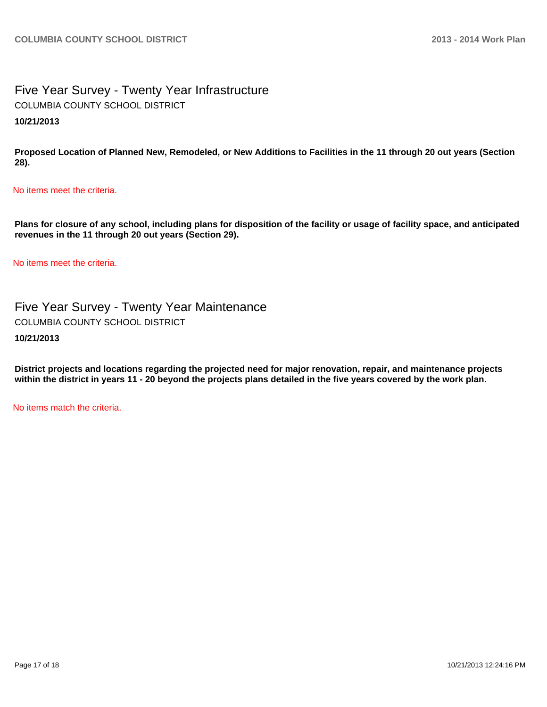Five Year Survey - Twenty Year Infrastructure **10/21/2013** COLUMBIA COUNTY SCHOOL DISTRICT

**Proposed Location of Planned New, Remodeled, or New Additions to Facilities in the 11 through 20 out years (Section 28).**

No items meet the criteria.

**Plans for closure of any school, including plans for disposition of the facility or usage of facility space, and anticipated revenues in the 11 through 20 out years (Section 29).**

No items meet the criteria.

Five Year Survey - Twenty Year Maintenance COLUMBIA COUNTY SCHOOL DISTRICT

**10/21/2013**

**District projects and locations regarding the projected need for major renovation, repair, and maintenance projects within the district in years 11 - 20 beyond the projects plans detailed in the five years covered by the work plan.**

No items match the criteria.